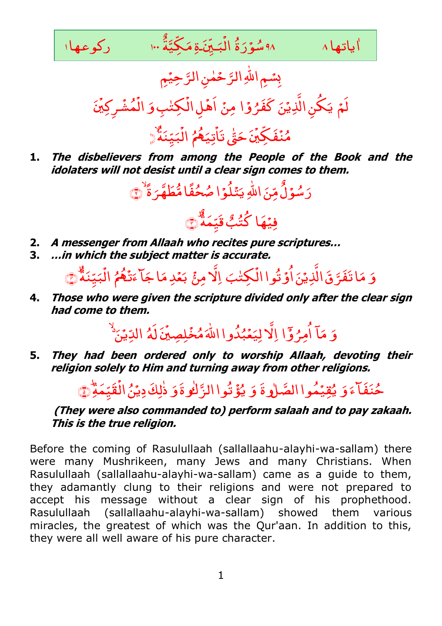

# بِسُمِ اللَّهِ الرَّحْمٰنِ الرَّحِيْمِ

لَمۡ يَكُنِ الَّذِيۡنَ كَفَرُوۡا نَ کَفَرُ<sub>ّ</sub> يَكُنِ الَّذِيۡنَ یَکُنِ الَّذِیۡنَ کَفَرُوۡا مِنۡ اَهۡلِ الۡکِتٰبِوَ ِ ا , اهْلِ الْكِتْبِ وَ الْمُشْرِكِينَ , **رِکِیۡنَ** ْ ش ُ ْ اڑ

### تیک**م**مُ ؚ<br>? نَ حَقٌّ تَأ ٰ , مُنۡفَكِّيۡنَ حَ<sub>قِّٰ</sub> تَأۡتِيَ<mark>هُ</mark>مُ الۡبَيِّنَةُّ .<br>أ Ļ ْ الْبَيِّنَةُ ﴿

**1. The disbelievers from among the People of the Book and the idolaters will not desist until a clear sign comes to them.**

ِ<br>ێٞڶؙۏ مِّنَ اللَّهِ يَـ ٌ و<br>سُوَّلُ َ رَ سُوۡلُ مِّنَ اللَّهِ يَتۡلُوۡ ا صُحُفًا مُّطَهَّرَ ةً صُحُفًا مُّطَهَّرَ ةُ ۖ



- **2. A messenger from Allaah who recites pure scriptures…**
- **3. …in which the subject matter is accurate.**

َ و ۔<br>لکِلنبَ اُوَتُواالُ َ ا تَفَرَّقَ الَّذِيْنَ  $\overline{\phantom{a}}$ مَا تَفَرَّقَ الَّذِيۡنَ أُوۡ تُوا الۡكِتٰبَ اِلَّا مِنۡ بَعۡدِ مَا جَآ ءَتۡهُمُ ْ ت َ اجَا<sup>ء</sup>َ بَعۡدِ مَا جَاۤ ءَتَٰۡهُمُ الۡبَيِّنَةُ **ٔ** Ļ ٔ<br>๋ الْبَيِّنَةٌ۞

**4. Those who were given the scripture divided only after the clear sign had come to them.**

َ و بہ آ ٔ م مَآ أُمِرُ وۡٓ ا امِرُوَّا اِلاَ لِيَعۡبُدُوااللَّهَ مُخۡلِصِيۡنَ لَهُ , لِمِينَ ْ مُبُدُوا اللَّهَ مُخۡ اِلاَ لِيَعۡبُدُوااللَّهَ مُخۡلِصِیۡنَ لَهُ الدِّیۡنَ الدِّیۡنُ ٗ

**5. They had been ordered only to worship Allaah, devoting their religion solely to Him and turning away from other religions.** 

َ و حُنَفَآءَوَ يُقِيۡمُوا الصَّلٰوةَ َ وَ يُؤَتُوا الزَّلٰو ةَ وَ ذٰلِكَ دِيۡنُ الۡقَيِّمَةِّ ْ ذٰلِكَ دِيۡنُ الۡقَيِّمَةِ ۚ ﴾ ٰ

## **(They were also commanded to) perform salaah and to pay zakaah. This is the true religion.**

Before the coming of Rasulullaah (sallallaahu-alayhi-wa-sallam) there were many Mushrikeen, many Jews and many Christians. When Rasulullaah (sallallaahu-alayhi-wa-sallam) came as a guide to them, they adamantly clung to their religions and were not prepared to accept his message without a clear sign of his prophethood. Rasulullaah (sallallaahu-alayhi-wa-sallam) showed them various miracles, the greatest of which was the Qur'aan. In addition to this, they were all well aware of his pure character.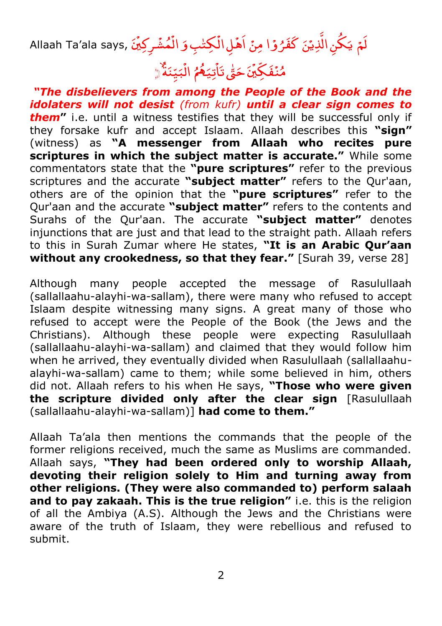لَمۡ يَكُنِ الَّذِيۡنَ كَفَرُوۡا مِنۡ اَهۡلِ الۡكِتٰبِ وَ الۡمُشۡرِكِيۡنَ ,Allaah Ta'ala says یَکُنِ الَّذِیۡنَ کَفَرُوۡا مِنۡ اَهۡلِ الۡکِتٰبِ وَ اَهۡلِ الۡكِتٰٰبِ وَ الۡمُشۡرِكِيۡنَ , <sub>ر</sub>کِینَ ْ ش ُ ْ اڑ

#### تیک**م**مُ ؚ<br>? نَ حَقُّ تَا ٰ , مُنۡفَكِّيۡۤنَ حَقّٰ تَاۡتِيَهُمُ الۡبَيِّنَةُ ؘ<br>֚ 4 ْ الْبَيِّنَةُ﴿

*"The disbelievers from among the People of the Book and the idolaters will not desist (from kufr) until a clear sign comes to them***"** i.e. until a witness testifies that they will be successful only if they forsake kufr and accept Islaam. Allaah describes this **"sign"**  (witness) as **"A messenger from Allaah who recites pure scriptures in which the subject matter is accurate."** While some commentators state that the **"pure scriptures"** refer to the previous scriptures and the accurate **"subject matter"** refers to the Qur'aan, others are of the opinion that the **"pure scriptures"** refer to the Qur'aan and the accurate **"subject matter"** refers to the contents and Surahs of the Qur'aan. The accurate **"subject matter"** denotes injunctions that are just and that lead to the straight path. Allaah refers to this in Surah Zumar where He states, **"It is an Arabic Qur'aan without any crookedness, so that they fear."** [Surah 39, verse 28]

Although many people accepted the message of Rasulullaah (sallallaahu-alayhi-wa-sallam), there were many who refused to accept Islaam despite witnessing many signs. A great many of those who refused to accept were the People of the Book (the Jews and the Christians). Although these people were expecting Rasulullaah (sallallaahu-alayhi-wa-sallam) and claimed that they would follow him when he arrived, they eventually divided when Rasulullaah (sallallaahualayhi-wa-sallam) came to them; while some believed in him, others did not. Allaah refers to his when He says, **"Those who were given the scripture divided only after the clear sign** [Rasulullaah (sallallaahu-alayhi-wa-sallam)] **had come to them."**

Allaah Ta'ala then mentions the commands that the people of the former religions received, much the same as Muslims are commanded. Allaah says, **"They had been ordered only to worship Allaah, devoting their religion solely to Him and turning away from other religions. (They were also commanded to) perform salaah and to pay zakaah. This is the true religion"** i.e. this is the religion of all the Ambiya (A.S). Although the Jews and the Christians were aware of the truth of Islaam, they were rebellious and refused to submit.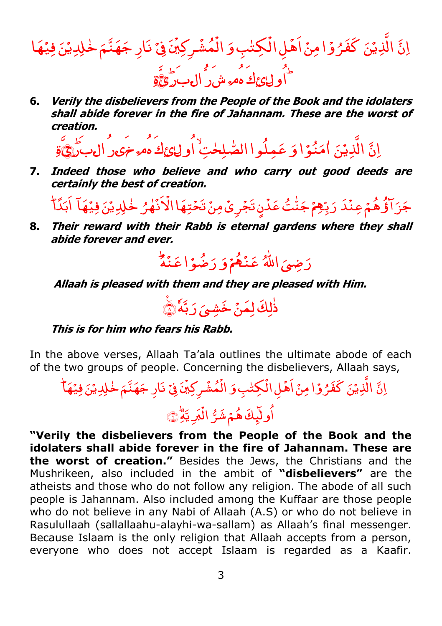اِنَّ ڶڮؚ<sub>ڟؗڹؚ</sub>ۅؘ ِ ا , وًّا مِنۡ أَهۡ نَ کَفَرُ *ُ* الَّذِيۡنَ كَفَرُوۡا مِنۡ اَهۡلِ الۡكِتٰبِ وَ الۡمُشۡرِكِيۡنَ فِیۡ , **رِکِیۡنَ** ْ ش ُ ْ الۡمُشۡرِكِيۡنَ فِيۡ نَارِ جَهَنَّمَ خٰلِدِيۡنَ فِيۡهَا <mark>ڂ</mark>ڸ*ڍ*ؽؘ مَنَّمَ نَارِ جَ ر<br>ساول نے اس کا مُشَرِّدُ اللہ کا اُول کا اُول کے اُن کا اُول کا کا اُن کا اُن کا اُن کا اُن کا اُن کا اُن کا ا

**6. Verily the disbelievers from the People of the Book and the idolaters shall abide forever in the fire of Jahannam. These are the worst of creation.**

َّ ِ ن ا الَّذِيۡنَ ٰامَنُوۡا وَ ر<br>نُوَا وَ ٔ م امَنُوٓا وَ عَمِلُوا الصّٰلِحٰتِ ٰ اُولے£كِ مُصرَحَمَ رُال۔بَرٰجَ َّةِ

**7. Indeed those who believe and who carry out good deeds are certainly the best of creation.**

ِ<br>ا<mark>ؤُهُم</mark>ۡ عِنۡدَ ُ. ل َ ج بہ نَ فِيۡهَا <mark>ڂ</mark>ڸ*ڍ*ؽؘ ُ ل ہ ٰ ْ َن .<br>? زٍ تَجۡرِیۡ مِنۡ تَحۡتِهَا الۡاَ ْ بِّ<mark>مِٓمَ</mark> جَنِّتُ عَدۡ ٰ َ رَبِّهِمْ جَنَّتُ عَدْنٍ تَجْرِيْ مِنْ تَحْتِهَا الْاَنْهٰرُ خْلِدِيْنَ فِيْهَآ اَبَدَّٱ

**8. Their reward with their Rabb is eternal gardens where they shall abide forever and ever.** 



**Allaah is pleased with them and they are pleased with Him.** 



### **This is for him who fears his Rabb.**

In the above verses, Allaah Ta'ala outlines the ultimate abode of each of the two groups of people. Concerning the disbelievers, Allaah says,

َّ نَّ الَّذِيْنَ كَفَرُوْا مِنْ اَهْلِ الْكِتْبِ وَ وًا مِنۡ اَهۡلِ الۡ الَّذِیۡنَ کَفَرُوۡا مِنۡ اَهۡلِ الۡکِتٰبِ وَ الۡمُشۡرِکِیۡنَ فِیۡ , **رِکِیۡنَ** ْ ش ُ .<br>• الۡمُشۡرِكِيۡنَ فِيۡ نَارِ جَهَنَّمَ خٰلِدِيۡنَ فِيۡهَآ نَارِ جَهَنَّمَ خُلِدِيْنَ فِيُهَا ِۃ َّ َ ِی ْ اُولَيِكَ هُمۡ شَرُّ الۡمَرِيَّةِ ۚ

**"Verily the disbelievers from the People of the Book and the idolaters shall abide forever in the fire of Jahannam. These are the worst of creation."** Besides the Jews, the Christians and the Mushrikeen, also included in the ambit of **"disbelievers"** are the atheists and those who do not follow any religion. The abode of all such people is Jahannam. Also included among the Kuffaar are those people who do not believe in any Nabi of Allaah (A.S) or who do not believe in Rasulullaah (sallallaahu-alayhi-wa-sallam) as Allaah's final messenger. Because Islaam is the only religion that Allaah accepts from a person, everyone who does not accept Islaam is regarded as a Kaafir.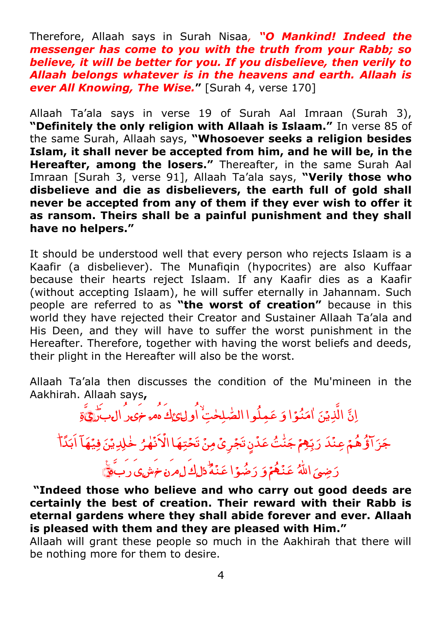Therefore, Allaah says in Surah Nisaa*, "O Mankind! Indeed the messenger has come to you with the truth from your Rabb; so believe, it will be better for you. If you disbelieve, then verily to Allaah belongs whatever is in the heavens and earth. Allaah is ever All Knowing, The Wise.***"** [Surah 4, verse 170]

Allaah Ta'ala says in verse 19 of Surah Aal Imraan (Surah 3), **"Definitely the only religion with Allaah is Islaam."** In verse 85 of the same Surah, Allaah says, **"Whosoever seeks a religion besides Islam, it shall never be accepted from him, and he will be, in the Hereafter, among the losers."** Thereafter, in the same Surah Aal Imraan [Surah 3, verse 91], Allaah Ta'ala says, **"Verily those who disbelieve and die as disbelievers, the earth full of gold shall never be accepted from any of them if they ever wish to offer it as ransom. Theirs shall be a painful punishment and they shall have no helpers."**

It should be understood well that every person who rejects Islaam is a Kaafir (a disbeliever). The Munafiqin (hypocrites) are also Kuffaar because their hearts reject Islaam. If any Kaafir dies as a Kaafir (without accepting Islaam), he will suffer eternally in Jahannam. Such people are referred to as **"the worst of creation"** because in this world they have rejected their Creator and Sustainer Allaah Ta'ala and His Deen, and they will have to suffer the worst punishment in the Hereafter. Therefore, together with having the worst beliefs and deeds, their plight in the Hereafter will also be the worst.

Allaah Ta'ala then discusses the condition of the Mu'mineen in the Aakhirah. Allaah says**,**

اِنَّ الَّذِیۡنَ ٰامَنُوۡا وَ عَمِلُوا الصّٰلِحٰتِ ٰ اُولے ٓئِ اُمُہ خَیۡرُ الۡمِبَرَّیُّ ةِ جَزَ آؤُهُمْ عِنْدَ بہ له ی فیها<br>خلیدی فیها .<br>نهر ْ رَبِّهِمْ جَنَّتُ عَدْنٍ تَجْرِيْ مِنْ تَحْتِهَا الْاَنْهٰرُ خْلِدِيْنَ فِينَهَا اَبَدَّا ٰ

الل<mark>َّهُ</mark> رَضِىَ اللّٰہُ عَ<mark>نَـٰهُمۡ</mark> وَ عَنْكُمْ وَ رَضُوًا عَنْهُ ۖ وَلِكَ لِمِرَه حَمَّسِ وَ رَبَّيْ

ر<br>ا

**"Indeed those who believe and who carry out good deeds are certainly the best of creation. Their reward with their Rabb is eternal gardens where they shall abide forever and ever. Allaah is pleased with them and they are pleased with Him."** 

Allaah will grant these people so much in the Aakhirah that there will be nothing more for them to desire.